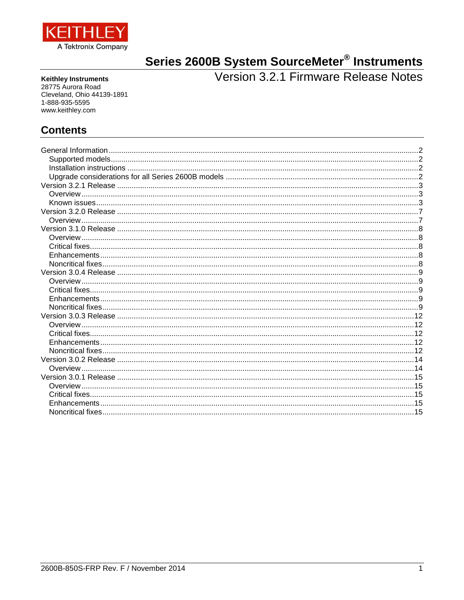

# <span id="page-0-0"></span>Series 2600B System SourceMeter<sup>®</sup> Instruments<br>Version 3.2.1 Firmware Release Notes

**Keithley Instruments** 28775 Aurora Road Cleveland, Ohio 44139-1891 1-888-935-5595 www.keithley.com

# **Contents**

| Overview |  |
|----------|--|
|          |  |
|          |  |
|          |  |
|          |  |
|          |  |
|          |  |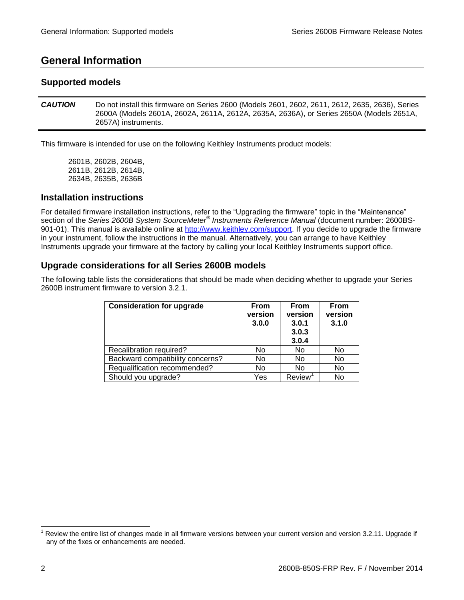# <span id="page-1-0"></span>**General Information**

# <span id="page-1-1"></span>**Supported models**

*CAUTION* Do not install this firmware on Series 2600 (Models 2601, 2602, 2611, 2612, 2635, 2636), Series 2600A (Models 2601A, 2602A, 2611A, 2612A, 2635A, 2636A), or Series 2650A (Models 2651A, 2657A) instruments.

This firmware is intended for use on the following Keithley Instruments product models:

2601B, 2602B, 2604B, 2611B, 2612B, 2614B, 2634B, 2635B, 2636B

## <span id="page-1-2"></span>**Installation instructions**

For detailed firmware installation instructions, refer to the "Upgrading the firmware" topic in the "Maintenance" section of the *Series 2600B System SourceMeter® Instruments Reference Manual* (document number: 2600BS-901-01). This manual is available online at http://www.keithley.com/support. If you decide to upgrade the firmware in your instrument, follow the instructions in the manual. Alternatively, you can arrange to have Keithley Instruments upgrade your firmware at the factory by calling your local Keithley Instruments support office.

# <span id="page-1-3"></span>**Upgrade considerations for all Series 2600B models**

The following table lists the considerations that should be made when deciding whether to upgrade your Series 2600B instrument firmware to version 3.2.1.

| <b>Consideration for upgrade</b> | <b>From</b><br>version<br>3.0.0 | <b>From</b><br>version<br>3.0.1<br>3.0.3<br>3.0.4 | <b>From</b><br>version<br>3.1.0 |
|----------------------------------|---------------------------------|---------------------------------------------------|---------------------------------|
| Recalibration required?          | No                              | No                                                | No                              |
| Backward compatibility concerns? | No                              | No                                                | No                              |
| Requalification recommended?     | No                              | No                                                | No                              |
| Should you upgrade?              | Yes                             | Review                                            | No                              |

 $\overline{a}$ 

Review the entire list of changes made in all firmware versions between your current version and versio[n 3.2.11](#page-0-0). Upgrade if any of the fixes or enhancements are needed.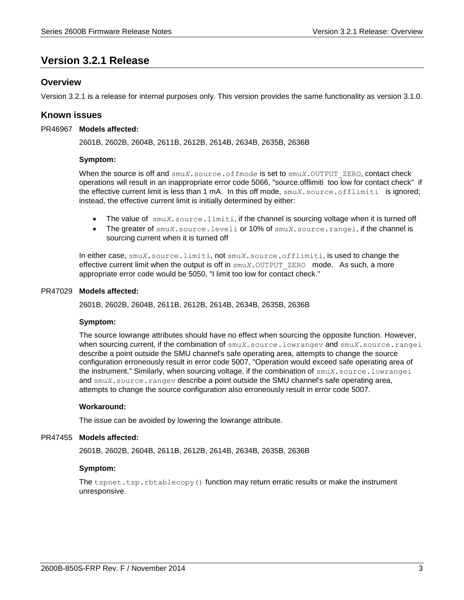# <span id="page-2-0"></span>**Version 3.2.1 Release**

# <span id="page-2-1"></span>**Overview**

<span id="page-2-2"></span>Version 3.2.1 is a release for internal purposes only. This version provides the same functionality as version 3.1.0.

## **Known issues**

#### PR46967 Models affected:

2601B, 2602B, 2604B, 2611B, 2612B, 2614B, 2634B, 2635B, 2636B

#### **Symptom:**

When the source is off and  $\text{smu}X$ . source.of fmode is set to  $\text{smu}X$ . OUTPUT ZERO, contact check operations will result in an inappropriate error code 5066, "source.offlimiti too low for contact check" if the effective current limit is less than 1 mA. In this off mode, smu*X*.source.offlimiti is ignored; instead, the effective current limit is initially determined by either:

- The value of smu*X*.source.limiti, if the channel is sourcing voltage when it is turned off
- The greater of smu*X*.source.leveli or 10% of smu*X*.source.rangei, if the channel is sourcing current when it is turned off

In either case, smu*X*.source.limiti, not smu*X*.source.offlimiti, is used to change the effective current limit when the output is off in  $\text{smuX.}\text{Output }$  ZERO mode. As such, a more appropriate error code would be 5050, "I limit too low for contact check."

#### PR47029 Models affected:

2601B, 2602B, 2604B, 2611B, 2612B, 2614B, 2634B, 2635B, 2636B

#### **Symptom:**

The source lowrange attributes should have no effect when sourcing the opposite function. However, when sourcing current, if the combination of smu*X*.source.lowrangev and smu*X*.source.rangei describe a point outside the SMU channel's safe operating area, attempts to change the source configuration erroneously result in error code 5007, "Operation would exceed safe operating area of the instrument." Similarly, when sourcing voltage, if the combination of smu*X*.source.lowrangei and smu*X*. source.rangev describe a point outside the SMU channel's safe operating area, attempts to change the source configuration also erroneously result in error code 5007.

#### **Workaround:**

The issue can be avoided by lowering the lowrange attribute.

#### PR47455 Models affected:

2601B, 2602B, 2604B, 2611B, 2612B, 2614B, 2634B, 2635B, 2636B

#### **Symptom:**

The tspnet.tsp.rbtablecopy() function may return erratic results or make the instrument unresponsive.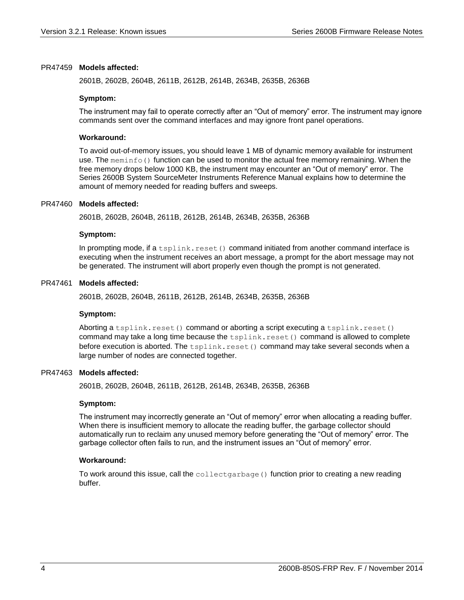#### PR47459 Models affected:

2601B, 2602B, 2604B, 2611B, 2612B, 2614B, 2634B, 2635B, 2636B

#### **Symptom:**

The instrument may fail to operate correctly after an "Out of memory" error. The instrument may ignore commands sent over the command interfaces and may ignore front panel operations.

#### **Workaround:**

To avoid out-of-memory issues, you should leave 1 MB of dynamic memory available for instrument use. The meminfo() function can be used to monitor the actual free memory remaining. When the free memory drops below 1000 KB, the instrument may encounter an "Out of memory" error. The Series 2600B System SourceMeter Instruments Reference Manual explains how to determine the amount of memory needed for reading buffers and sweeps.

#### PR47460 Models affected:

2601B, 2602B, 2604B, 2611B, 2612B, 2614B, 2634B, 2635B, 2636B

#### **Symptom:**

In prompting mode, if a  $t_{\text{split}}$ , reset() command initiated from another command interface is executing when the instrument receives an abort message, a prompt for the abort message may not be generated. The instrument will abort properly even though the prompt is not generated.

#### PR47461 Models affected:

2601B, 2602B, 2604B, 2611B, 2612B, 2614B, 2634B, 2635B, 2636B

#### **Symptom:**

Aborting a tsplink.reset() command or aborting a script executing a tsplink.reset() command may take a long time because the  $t$ splink.reset() command is allowed to complete before execution is aborted. The  $tsplit.reset()$  command may take several seconds when a large number of nodes are connected together.

#### PR47463 Models affected:

2601B, 2602B, 2604B, 2611B, 2612B, 2614B, 2634B, 2635B, 2636B

#### **Symptom:**

The instrument may incorrectly generate an "Out of memory" error when allocating a reading buffer. When there is insufficient memory to allocate the reading buffer, the garbage collector should automatically run to reclaim any unused memory before generating the "Out of memory" error. The garbage collector often fails to run, and the instrument issues an "Out of memory" error.

#### **Workaround:**

To work around this issue, call the collectgarbage () function prior to creating a new reading buffer.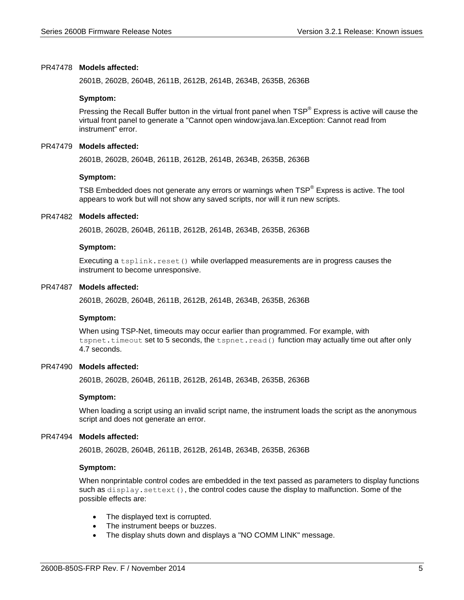#### PR47478 Models affected:

2601B, 2602B, 2604B, 2611B, 2612B, 2614B, 2634B, 2635B, 2636B

#### **Symptom:**

Pressing the Recall Buffer button in the virtual front panel when TSP<sup>®</sup> Express is active will cause the virtual front panel to generate a "Cannot open window:java.lan.Exception: Cannot read from instrument" error.

#### PR47479 Models affected:

2601B, 2602B, 2604B, 2611B, 2612B, 2614B, 2634B, 2635B, 2636B

#### **Symptom:**

TSB Embedded does not generate any errors or warnings when  $\text{TSP}^{\circledast}$  Express is active. The tool appears to work but will not show any saved scripts, nor will it run new scripts.

#### PR47482 Models affected:

2601B, 2602B, 2604B, 2611B, 2612B, 2614B, 2634B, 2635B, 2636B

#### **Symptom:**

Executing a tsplink.reset() while overlapped measurements are in progress causes the instrument to become unresponsive.

#### PR47487 Models affected:

2601B, 2602B, 2604B, 2611B, 2612B, 2614B, 2634B, 2635B, 2636B

#### **Symptom:**

When using TSP-Net, timeouts may occur earlier than programmed. For example, with tspnet.timeout set to 5 seconds, the tspnet.read() function may actually time out after only 4.7 seconds.

#### PR47490 Models affected:

2601B, 2602B, 2604B, 2611B, 2612B, 2614B, 2634B, 2635B, 2636B

#### **Symptom:**

When loading a script using an invalid script name, the instrument loads the script as the anonymous script and does not generate an error.

#### PR47494 Models affected:

2601B, 2602B, 2604B, 2611B, 2612B, 2614B, 2634B, 2635B, 2636B

#### **Symptom:**

When nonprintable control codes are embedded in the text passed as parameters to display functions such as  $display.settext()$ , the control codes cause the display to malfunction. Some of the possible effects are:

- The displayed text is corrupted.
- The instrument beeps or buzzes.
- The display shuts down and displays a "NO COMM LINK" message.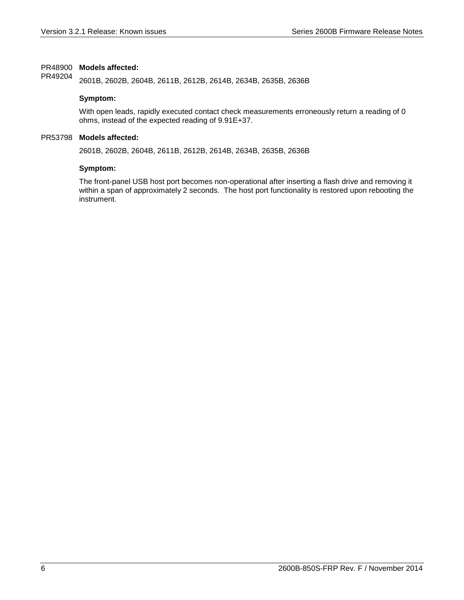#### PR48900 Models affected:

2601B, 2602B, 2604B, 2611B, 2612B, 2614B, 2634B, 2635B, 2636B PR49204

#### **Symptom:**

With open leads, rapidly executed contact check measurements erroneously return a reading of 0 ohms, instead of the expected reading of 9.91E+37.

#### PR53798 Models affected:

2601B, 2602B, 2604B, 2611B, 2612B, 2614B, 2634B, 2635B, 2636B

#### **Symptom:**

The front-panel USB host port becomes non-operational after inserting a flash drive and removing it within a span of approximately 2 seconds. The host port functionality is restored upon rebooting the instrument.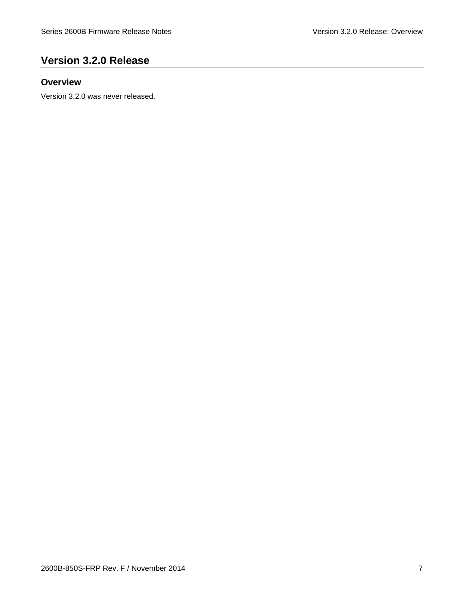# <span id="page-6-0"></span>**Version 3.2.0 Release**

# <span id="page-6-1"></span>**Overview**

Version 3.2.0 was never released.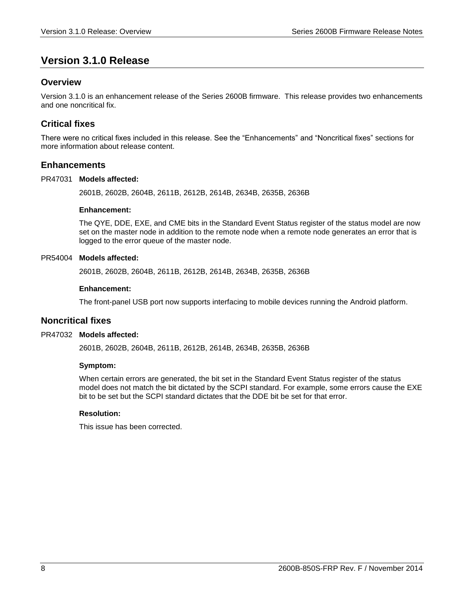# <span id="page-7-0"></span>**Version 3.1.0 Release**

# <span id="page-7-1"></span>**Overview**

Version 3.1.0 is an enhancement release of the Series 2600B firmware. This release provides two enhancements and one noncritical fix.

# <span id="page-7-2"></span>**Critical fixes**

There were no critical fixes included in this release. See the "Enhancements" and "Noncritical fixes" sections for more information about release content.

## <span id="page-7-3"></span>**Enhancements**

#### PR47031 Models affected:

2601B, 2602B, 2604B, 2611B, 2612B, 2614B, 2634B, 2635B, 2636B

#### **Enhancement:**

The QYE, DDE, EXE, and CME bits in the Standard Event Status register of the status model are now set on the master node in addition to the remote node when a remote node generates an error that is logged to the error queue of the master node.

#### PR54004 Models affected:

2601B, 2602B, 2604B, 2611B, 2612B, 2614B, 2634B, 2635B, 2636B

#### **Enhancement:**

The front-panel USB port now supports interfacing to mobile devices running the Android platform.

## <span id="page-7-4"></span>**Noncritical fixes**

#### PR47032 Models affected:

2601B, 2602B, 2604B, 2611B, 2612B, 2614B, 2634B, 2635B, 2636B

#### **Symptom:**

When certain errors are generated, the bit set in the Standard Event Status register of the status model does not match the bit dictated by the SCPI standard. For example, some errors cause the EXE bit to be set but the SCPI standard dictates that the DDE bit be set for that error.

#### **Resolution:**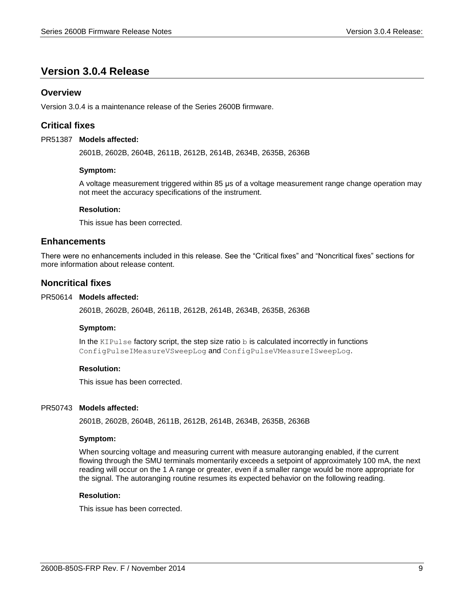# <span id="page-8-0"></span>**Version 3.0.4 Release**

# <span id="page-8-1"></span>**Overview**

<span id="page-8-2"></span>Version 3.0.4 is a maintenance release of the Series 2600B firmware.

# **Critical fixes**

#### PR51387 Models affected:

2601B, 2602B, 2604B, 2611B, 2612B, 2614B, 2634B, 2635B, 2636B

#### **Symptom:**

A voltage measurement triggered within 85 μs of a voltage measurement range change operation may not meet the accuracy specifications of the instrument.

#### **Resolution:**

This issue has been corrected.

## <span id="page-8-3"></span>**Enhancements**

There were no enhancements included in this release. See the "Critical fixes" and "Noncritical fixes" sections for more information about release content.

## <span id="page-8-4"></span>**Noncritical fixes**

#### PR50614 Models affected:

2601B, 2602B, 2604B, 2611B, 2612B, 2614B, 2634B, 2635B, 2636B

#### **Symptom:**

In the KIPulse factory script, the step size ratio  $b$  is calculated incorrectly in functions ConfigPulseIMeasureVSweepLog and ConfigPulseVMeasureISweepLog.

#### **Resolution:**

This issue has been corrected.

#### PR50743 Models affected:

2601B, 2602B, 2604B, 2611B, 2612B, 2614B, 2634B, 2635B, 2636B

#### **Symptom:**

When sourcing voltage and measuring current with measure autoranging enabled, if the current flowing through the SMU terminals momentarily exceeds a setpoint of approximately 100 mA, the next reading will occur on the 1 A range or greater, even if a smaller range would be more appropriate for the signal. The autoranging routine resumes its expected behavior on the following reading.

#### **Resolution:**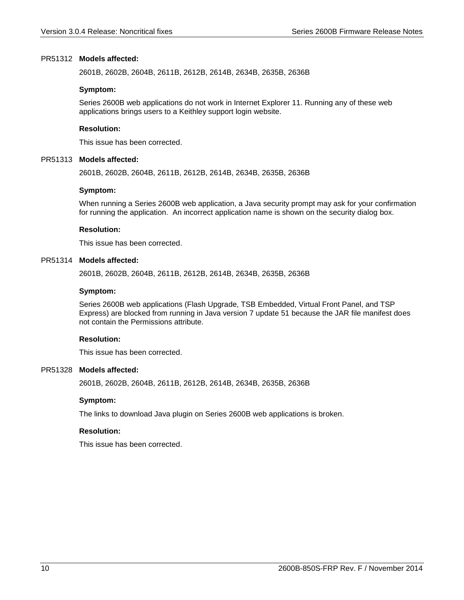#### PR51312 Models affected:

2601B, 2602B, 2604B, 2611B, 2612B, 2614B, 2634B, 2635B, 2636B

#### **Symptom:**

Series 2600B web applications do not work in Internet Explorer 11. Running any of these web applications brings users to a Keithley support login website.

#### **Resolution:**

This issue has been corrected.

#### PR51313 Models affected:

2601B, 2602B, 2604B, 2611B, 2612B, 2614B, 2634B, 2635B, 2636B

#### **Symptom:**

When running a Series 2600B web application, a Java security prompt may ask for your confirmation for running the application. An incorrect application name is shown on the security dialog box.

#### **Resolution:**

This issue has been corrected.

#### PR51314 Models affected:

2601B, 2602B, 2604B, 2611B, 2612B, 2614B, 2634B, 2635B, 2636B

#### **Symptom:**

Series 2600B web applications (Flash Upgrade, TSB Embedded, Virtual Front Panel, and TSP Express) are blocked from running in Java version 7 update 51 because the JAR file manifest does not contain the Permissions attribute.

#### **Resolution:**

This issue has been corrected.

#### PR51328 Models affected:

2601B, 2602B, 2604B, 2611B, 2612B, 2614B, 2634B, 2635B, 2636B

#### **Symptom:**

The links to download Java plugin on Series 2600B web applications is broken.

#### **Resolution:**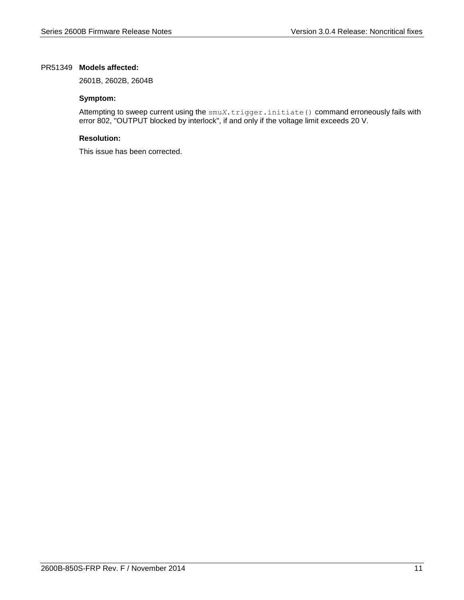#### PR51349 Models affected:

2601B, 2602B, 2604B

#### **Symptom:**

Attempting to sweep current using the smu*X*.trigger.initiate() command erroneously fails with error 802, "OUTPUT blocked by interlock", if and only if the voltage limit exceeds 20 V.

## **Resolution:**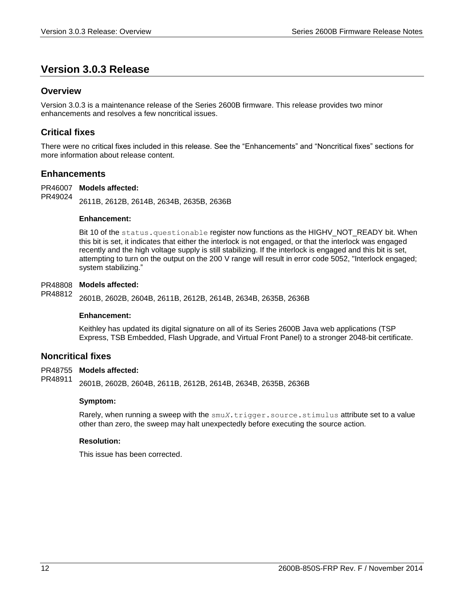# <span id="page-11-0"></span>**Version 3.0.3 Release**

# <span id="page-11-1"></span>**Overview**

Version 3.0.3 is a maintenance release of the Series 2600B firmware. This release provides two minor enhancements and resolves a few noncritical issues.

# <span id="page-11-2"></span>**Critical fixes**

There were no critical fixes included in this release. See the "Enhancements" and "Noncritical fixes" sections for more information about release content.

# <span id="page-11-3"></span>**Enhancements**

PR46007 Models affected: 2611B, 2612B, 2614B, 2634B, 2635B, 2636B PR49024

#### **Enhancement:**

Bit 10 of the status.questionable register now functions as the HIGHV\_NOT\_READY bit. When this bit is set, it indicates that either the interlock is not engaged, or that the interlock was engaged recently and the high voltage supply is still stabilizing. If the interlock is engaged and this bit is set, attempting to turn on the output on the 200 V range will result in error code 5052, "Interlock engaged; system stabilizing."

#### PR48808 Models affected:

2601B, 2602B, 2604B, 2611B, 2612B, 2614B, 2634B, 2635B, 2636B PR48812

#### **Enhancement:**

Keithley has updated its digital signature on all of its Series 2600B Java web applications (TSP Express, TSB Embedded, Flash Upgrade, and Virtual Front Panel) to a stronger 2048-bit certificate.

## <span id="page-11-4"></span>**Noncritical fixes**

#### PR48755 Models affected:

2601B, 2602B, 2604B, 2611B, 2612B, 2614B, 2634B, 2635B, 2636B PR48911

#### **Symptom:**

Rarely, when running a sweep with the  $\text{smu}X$ .trigger.source.stimulus attribute set to a value other than zero, the sweep may halt unexpectedly before executing the source action.

#### **Resolution:**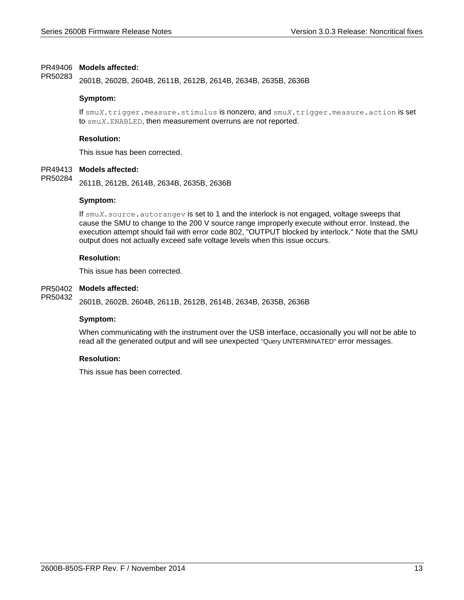#### PR49406 Models affected:

2601B, 2602B, 2604B, 2611B, 2612B, 2614B, 2634B, 2635B, 2636B PR50283

#### **Symptom:**

If smu*X*.trigger.measure.stimulus is nonzero, and smu*X*.trigger.measure.action is set to smu*X*.ENABLED, then measurement overruns are not reported.

#### **Resolution:**

This issue has been corrected.

#### PR49413 Models affected:

2611B, 2612B, 2614B, 2634B, 2635B, 2636B PR50284

#### **Symptom:**

If smu*X*.source.autorangev is set to 1 and the interlock is not engaged, voltage sweeps that cause the SMU to change to the 200 V source range improperly execute without error. Instead, the execution attempt should fail with error code 802, "OUTPUT blocked by interlock." Note that the SMU output does not actually exceed safe voltage levels when this issue occurs.

#### **Resolution:**

This issue has been corrected.

#### PR50402 Models affected:

2601B, 2602B, 2604B, 2611B, 2612B, 2614B, 2634B, 2635B, 2636B PR50432

#### **Symptom:**

When communicating with the instrument over the USB interface, occasionally you will not be able to read all the generated output and will see unexpected "Query UNTERMINATED" error messages.

#### **Resolution:**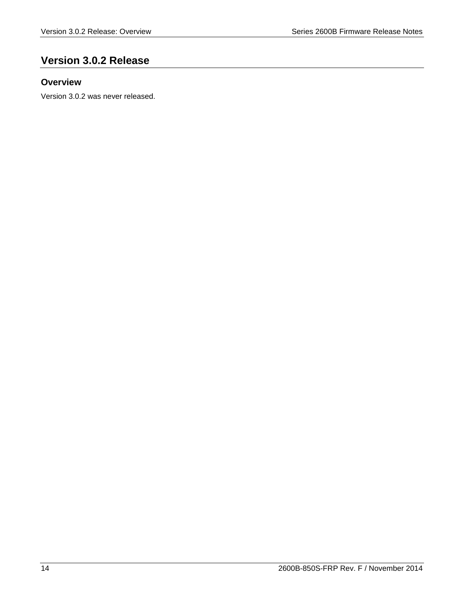# <span id="page-13-0"></span>**Version 3.0.2 Release**

# <span id="page-13-1"></span>**Overview**

Version 3.0.2 was never released.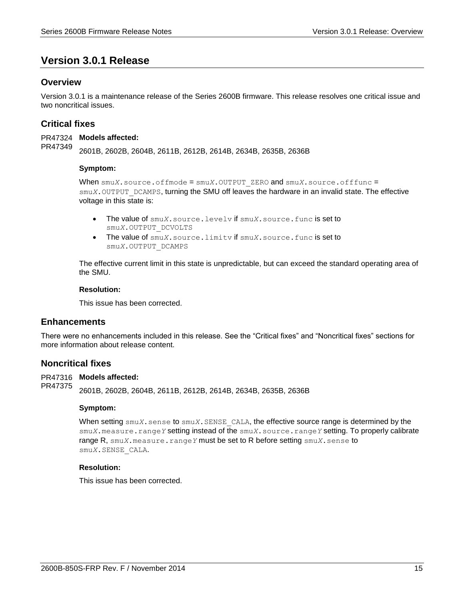# <span id="page-14-0"></span>**Version 3.0.1 Release**

# <span id="page-14-1"></span>**Overview**

Version 3.0.1 is a maintenance release of the Series 2600B firmware. This release resolves one critical issue and two noncritical issues.

# <span id="page-14-2"></span>**Critical fixes**

PR47324 Models affected: 2601B, 2602B, 2604B, 2611B, 2612B, 2614B, 2634B, 2635B, 2636B PR47349

#### **Symptom:**

When smu*X*.source.offmode = smu*X*.OUTPUT\_ZERO and smu*X*.source.offfunc = smu*X*. OUTPUT DCAMPS, turning the SMU off leaves the hardware in an invalid state. The effective voltage in this state is:

- The value of smu*X*.source.levelv if smu*X*.source.func is set to smu*X*.OUTPUT\_DCVOLTS
- The value of smu*X*.source.limitv if smu*X*.source.func is set to smu*X*.OUTPUT\_DCAMPS

The effective current limit in this state is unpredictable, but can exceed the standard operating area of the SMU.

#### **Resolution:**

This issue has been corrected.

## <span id="page-14-3"></span>**Enhancements**

There were no enhancements included in this release. See the "Critical fixes" and "Noncritical fixes" sections for more information about release content.

#### <span id="page-14-4"></span>**Noncritical fixes**

PR47316 Models affected:

2601B, 2602B, 2604B, 2611B, 2612B, 2614B, 2634B, 2635B, 2636B PR47375

#### **Symptom:**

When setting  $\text{smuX}$ , sense to  $\text{smuX}$ , SENSE CALA, the effective source range is determined by the smu*X*.measure.range*Y* setting instead of the smu*X*.source.range*Y* setting. To properly calibrate range R, smu*X*.measure.range*Y* must be set to R before setting smu*X*.sense to smu*X*.SENSE\_CALA.

# **Resolution:**